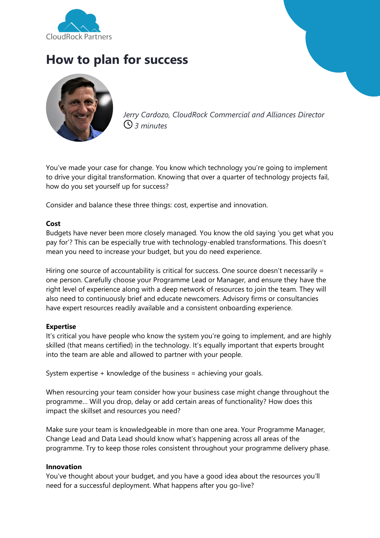

## **How to plan for success**



*Jerry Cardozo, CloudRock Commercial and Alliances Director 3 minutes*

You've made your case for change. You know which technology you're going to implement to drive your digital transformation. Knowing that over a quarter of technology projects fail, how do you set yourself up for success?

Consider and balance these three things: cost, expertise and innovation.

## **Cost**

Budgets have never been more closely managed. You know the old saying 'you get what you pay for'? This can be especially true with technology-enabled transformations. This doesn't mean you need to increase your budget, but you do need experience.

Hiring one source of accountability is critical for success. One source doesn't necessarily = one person. Carefully choose your Programme Lead or Manager, and ensure they have the right level of experience along with a deep network of resources to join the team. They will also need to continuously brief and educate newcomers. Advisory firms or consultancies have expert resources readily available and a consistent onboarding experience.

## **Expertise**

It's critical you have people who know the system you're going to implement, and are highly skilled (that means certified) in the technology. It's equally important that experts brought into the team are able and allowed to partner with your people.

System expertise + knowledge of the business = achieving your goals.

When resourcing your team consider how your business case might change throughout the programme… Will you drop, delay or add certain areas of functionality? How does this impact the skillset and resources you need?

Make sure your team is knowledgeable in more than one area. Your Programme Manager, Change Lead and Data Lead should know what's happening across all areas of the programme. Try to keep those roles consistent throughout your programme delivery phase.

## **Innovation**

You've thought about your budget, and you have a good idea about the resources you'll need for a successful deployment. What happens after you go-live?